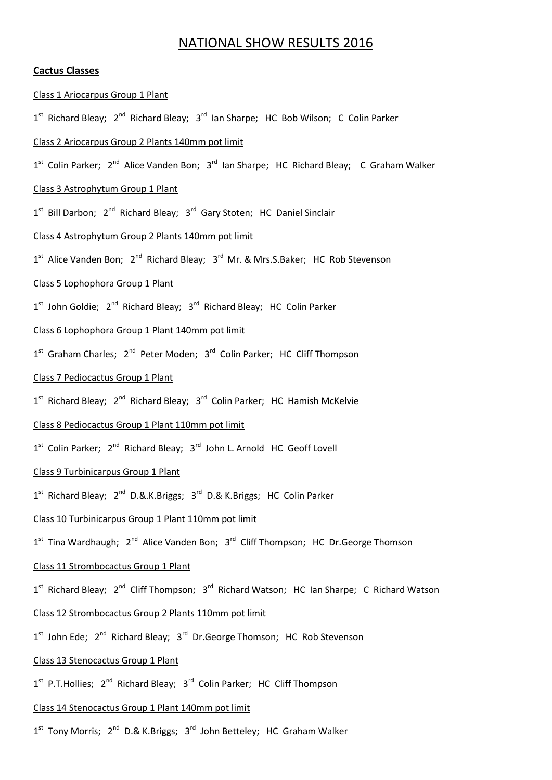# NATIONAL SHOW RESULTS 2016

### **Cactus Classes**

#### Class 1 Ariocarpus Group 1 Plant

1<sup>st</sup> Richard Bleay; 2<sup>nd</sup> Richard Bleay; 3<sup>rd</sup> Ian Sharpe; HC Bob Wilson; C Colin Parker

#### Class 2 Ariocarpus Group 2 Plants 140mm pot limit

1<sup>st</sup> Colin Parker; 2<sup>nd</sup> Alice Vanden Bon; 3<sup>rd</sup> Ian Sharpe; HC Richard Bleay; C Graham Walker

#### Class 3 Astrophytum Group 1 Plant

1<sup>st</sup> Bill Darbon; 2<sup>nd</sup> Richard Bleay; 3<sup>rd</sup> Gary Stoten; HC Daniel Sinclair

#### Class 4 Astrophytum Group 2 Plants 140mm pot limit

1<sup>st</sup> Alice Vanden Bon; 2<sup>nd</sup> Richard Bleay; 3<sup>rd</sup> Mr. & Mrs.S.Baker; HC Rob Stevenson

#### Class 5 Lophophora Group 1 Plant

1<sup>st</sup> John Goldie; 2<sup>nd</sup> Richard Bleay; 3<sup>rd</sup> Richard Bleay; HC Colin Parker

### Class 6 Lophophora Group 1 Plant 140mm pot limit

1<sup>st</sup> Graham Charles; 2<sup>nd</sup> Peter Moden; 3<sup>rd</sup> Colin Parker; HC Cliff Thompson

#### Class 7 Pediocactus Group 1 Plant

1<sup>st</sup> Richard Bleay; 2<sup>nd</sup> Richard Bleay; 3<sup>rd</sup> Colin Parker; HC Hamish McKelvie

#### Class 8 Pediocactus Group 1 Plant 110mm pot limit

1<sup>st</sup> Colin Parker; 2<sup>nd</sup> Richard Bleay; 3<sup>rd</sup> John L. Arnold HC Geoff Lovell

### Class 9 Turbinicarpus Group 1 Plant

1<sup>st</sup> Richard Bleay; 2<sup>nd</sup> D.&.K.Briggs; 3<sup>rd</sup> D.& K.Briggs; HC Colin Parker

#### Class 10 Turbinicarpus Group 1 Plant 110mm pot limit

1<sup>st</sup> Tina Wardhaugh; 2<sup>nd</sup> Alice Vanden Bon; 3<sup>rd</sup> Cliff Thompson; HC Dr.George Thomson

### Class 11 Strombocactus Group 1 Plant

1<sup>st</sup> Richard Bleay; 2<sup>nd</sup> Cliff Thompson; 3<sup>rd</sup> Richard Watson; HC Ian Sharpe; C Richard Watson

### Class 12 Strombocactus Group 2 Plants 110mm pot limit

1<sup>st</sup> John Ede; 2<sup>nd</sup> Richard Bleay; 3<sup>rd</sup> Dr.George Thomson; HC Rob Stevenson

#### Class 13 Stenocactus Group 1 Plant

1<sup>st</sup> P.T.Hollies; 2<sup>nd</sup> Richard Bleay; 3<sup>rd</sup> Colin Parker; HC Cliff Thompson

## Class 14 Stenocactus Group 1 Plant 140mm pot limit

1<sup>st</sup> Tony Morris; 2<sup>nd</sup> D.& K.Briggs; 3<sup>rd</sup> John Betteley; HC Graham Walker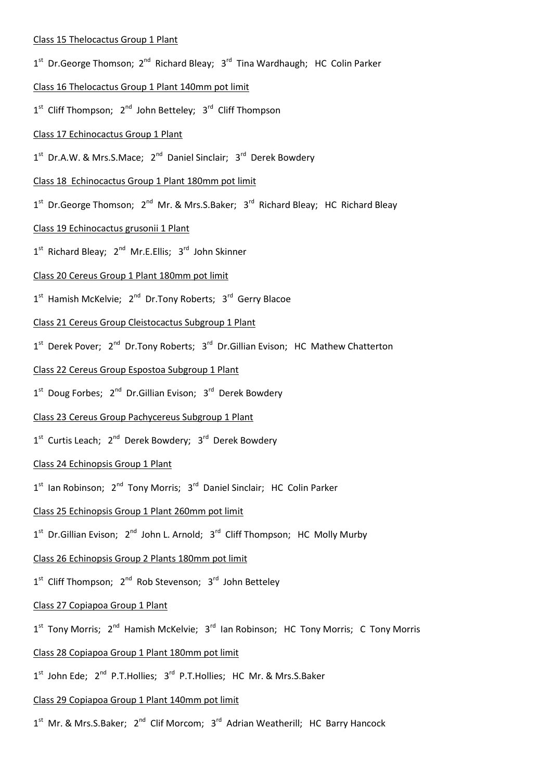## Class 15 Thelocactus Group 1 Plant

- 1<sup>st</sup> Dr.George Thomson; 2<sup>nd</sup> Richard Bleay; 3<sup>rd</sup> Tina Wardhaugh; HC Colin Parker
- Class 16 Thelocactus Group 1 Plant 140mm pot limit
- 1<sup>st</sup> Cliff Thompson; 2<sup>nd</sup> John Betteley; 3<sup>rd</sup> Cliff Thompson

## Class 17 Echinocactus Group 1 Plant

1<sup>st</sup> Dr.A.W. & Mrs.S.Mace; 2<sup>nd</sup> Daniel Sinclair; 3<sup>rd</sup> Derek Bowdery

## Class 18 Echinocactus Group 1 Plant 180mm pot limit

1<sup>st</sup> Dr.George Thomson; 2<sup>nd</sup> Mr. & Mrs.S.Baker; 3<sup>rd</sup> Richard Bleay; HC Richard Bleay

## Class 19 Echinocactus grusonii 1 Plant

1<sup>st</sup> Richard Bleay; 2<sup>nd</sup> Mr.E.Ellis; 3<sup>rd</sup> John Skinner

## Class 20 Cereus Group 1 Plant 180mm pot limit

1<sup>st</sup> Hamish McKelvie; 2<sup>nd</sup> Dr.Tony Roberts; 3<sup>rd</sup> Gerry Blacoe

## Class 21 Cereus Group Cleistocactus Subgroup 1 Plant

1<sup>st</sup> Derek Pover; 2<sup>nd</sup> Dr.Tony Roberts; 3<sup>rd</sup> Dr.Gillian Evison; HC Mathew Chatterton

## Class 22 Cereus Group Espostoa Subgroup 1 Plant

1<sup>st</sup> Doug Forbes; 2<sup>nd</sup> Dr.Gillian Evison; 3<sup>rd</sup> Derek Bowdery

## Class 23 Cereus Group Pachycereus Subgroup 1 Plant

1<sup>st</sup> Curtis Leach; 2<sup>nd</sup> Derek Bowdery; 3<sup>rd</sup> Derek Bowdery

## Class 24 Echinopsis Group 1 Plant

1<sup>st</sup> Ian Robinson; 2<sup>nd</sup> Tony Morris; 3<sup>rd</sup> Daniel Sinclair; HC Colin Parker

## Class 25 Echinopsis Group 1 Plant 260mm pot limit

1<sup>st</sup> Dr.Gillian Evison; 2<sup>nd</sup> John L. Arnold; 3<sup>rd</sup> Cliff Thompson; HC Molly Murby

## Class 26 Echinopsis Group 2 Plants 180mm pot limit

1<sup>st</sup> Cliff Thompson; 2<sup>nd</sup> Rob Stevenson; 3<sup>rd</sup> John Betteley

## Class 27 Copiapoa Group 1 Plant

1<sup>st</sup> Tony Morris; 2<sup>nd</sup> Hamish McKelvie; 3<sup>rd</sup> Ian Robinson; HC Tony Morris; C Tony Morris

## Class 28 Copiapoa Group 1 Plant 180mm pot limit

1<sup>st</sup> John Ede; 2<sup>nd</sup> P.T.Hollies; 3<sup>rd</sup> P.T.Hollies; HC Mr. & Mrs.S.Baker

### Class 29 Copiapoa Group 1 Plant 140mm pot limit

1<sup>st</sup> Mr. & Mrs.S.Baker; 2<sup>nd</sup> Clif Morcom; 3<sup>rd</sup> Adrian Weatherill; HC Barry Hancock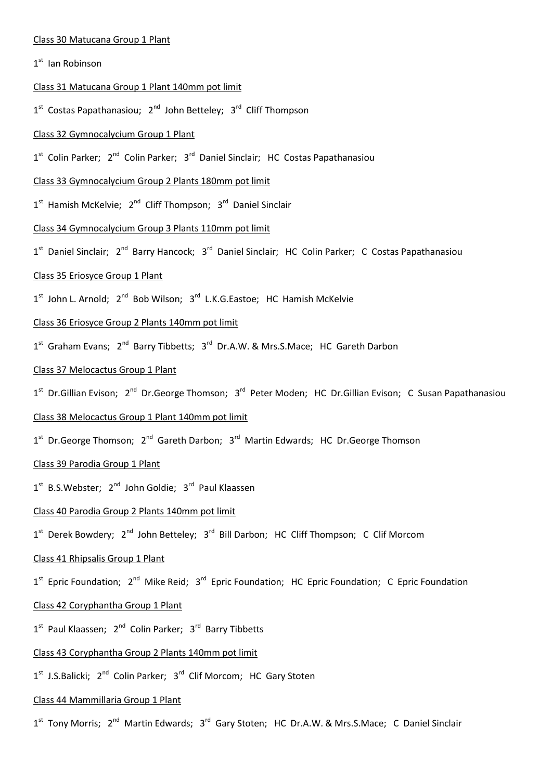#### Class 30 Matucana Group 1 Plant

## 1<sup>st</sup> Ian Robinson

## Class 31 Matucana Group 1 Plant 140mm pot limit

1<sup>st</sup> Costas Papathanasiou; 2<sup>nd</sup> John Betteley; 3<sup>rd</sup> Cliff Thompson

### Class 32 Gymnocalycium Group 1 Plant

1<sup>st</sup> Colin Parker; 2<sup>nd</sup> Colin Parker; 3<sup>rd</sup> Daniel Sinclair; HC Costas Papathanasiou

## Class 33 Gymnocalycium Group 2 Plants 180mm pot limit

1<sup>st</sup> Hamish McKelvie; 2<sup>nd</sup> Cliff Thompson; 3<sup>rd</sup> Daniel Sinclair

## Class 34 Gymnocalycium Group 3 Plants 110mm pot limit

1<sup>st</sup> Daniel Sinclair; 2<sup>nd</sup> Barry Hancock; 3<sup>rd</sup> Daniel Sinclair; HC Colin Parker; C Costas Papathanasiou

#### Class 35 Eriosyce Group 1 Plant

1<sup>st</sup> John L. Arnold; 2<sup>nd</sup> Bob Wilson; 3<sup>rd</sup> L.K.G.Eastoe; HC Hamish McKelvie

## Class 36 Eriosyce Group 2 Plants 140mm pot limit

1<sup>st</sup> Graham Evans; 2<sup>nd</sup> Barry Tibbetts; 3<sup>rd</sup> Dr.A.W. & Mrs.S.Mace; HC Gareth Darbon

## Class 37 Melocactus Group 1 Plant

1<sup>st</sup> Dr.Gillian Evison; 2<sup>nd</sup> Dr.George Thomson; 3<sup>rd</sup> Peter Moden; HC Dr.Gillian Evison; C Susan Papathanasiou

### Class 38 Melocactus Group 1 Plant 140mm pot limit

1<sup>st</sup> Dr.George Thomson; 2<sup>nd</sup> Gareth Darbon; 3<sup>rd</sup> Martin Edwards; HC Dr.George Thomson

## Class 39 Parodia Group 1 Plant

1<sup>st</sup> B.S.Webster; 2<sup>nd</sup> John Goldie; 3<sup>rd</sup> Paul Klaassen

## Class 40 Parodia Group 2 Plants 140mm pot limit

1<sup>st</sup> Derek Bowdery; 2<sup>nd</sup> John Betteley; 3<sup>rd</sup> Bill Darbon; HC Cliff Thompson; C Clif Morcom

## Class 41 Rhipsalis Group 1 Plant

1<sup>st</sup> Epric Foundation; 2<sup>nd</sup> Mike Reid; 3<sup>rd</sup> Epric Foundation; HC Epric Foundation; C Epric Foundation

## Class 42 Coryphantha Group 1 Plant

1<sup>st</sup> Paul Klaassen; 2<sup>nd</sup> Colin Parker; 3<sup>rd</sup> Barry Tibbetts

### Class 43 Coryphantha Group 2 Plants 140mm pot limit

1<sup>st</sup> J.S.Balicki; 2<sup>nd</sup> Colin Parker; 3<sup>rd</sup> Clif Morcom; HC Gary Stoten

#### Class 44 Mammillaria Group 1 Plant

1<sup>st</sup> Tony Morris; 2<sup>nd</sup> Martin Edwards; 3<sup>rd</sup> Gary Stoten; HC Dr.A.W. & Mrs.S.Mace; C Daniel Sinclair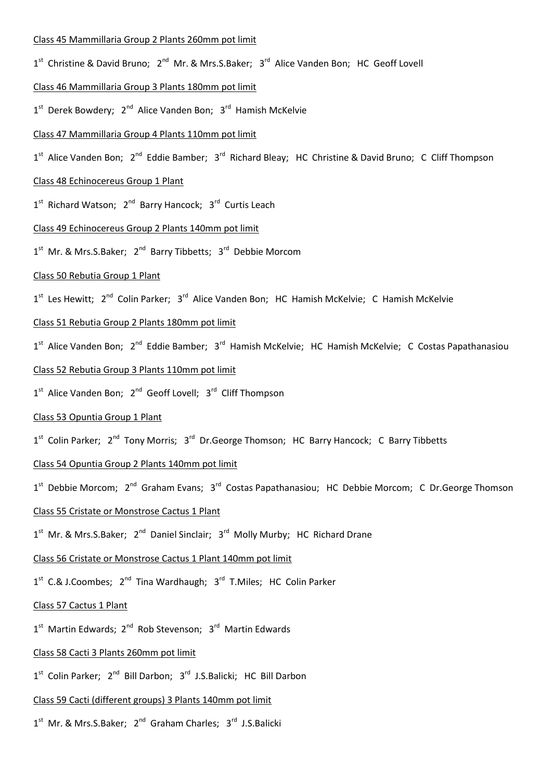### Class 45 Mammillaria Group 2 Plants 260mm pot limit

- 1<sup>st</sup> Christine & David Bruno; 2<sup>nd</sup> Mr. & Mrs.S.Baker; 3<sup>rd</sup> Alice Vanden Bon; HC Geoff Lovell
- Class 46 Mammillaria Group 3 Plants 180mm pot limit
- 1<sup>st</sup> Derek Bowdery; 2<sup>nd</sup> Alice Vanden Bon; 3<sup>rd</sup> Hamish McKelvie

#### Class 47 Mammillaria Group 4 Plants 110mm pot limit

1<sup>st</sup> Alice Vanden Bon; 2<sup>nd</sup> Eddie Bamber; 3<sup>rd</sup> Richard Bleay; HC Christine & David Bruno; C Cliff Thompson

## Class 48 Echinocereus Group 1 Plant

1<sup>st</sup> Richard Watson; 2<sup>nd</sup> Barry Hancock; 3<sup>rd</sup> Curtis Leach

## Class 49 Echinocereus Group 2 Plants 140mm pot limit

1<sup>st</sup> Mr. & Mrs.S.Baker; 2<sup>nd</sup> Barry Tibbetts; 3<sup>rd</sup> Debbie Morcom

#### Class 50 Rebutia Group 1 Plant

1<sup>st</sup> Les Hewitt; 2<sup>nd</sup> Colin Parker; 3<sup>rd</sup> Alice Vanden Bon; HC Hamish McKelvie; C Hamish McKelvie

## Class 51 Rebutia Group 2 Plants 180mm pot limit

1<sup>st</sup> Alice Vanden Bon; 2<sup>nd</sup> Eddie Bamber; 3<sup>rd</sup> Hamish McKelvie; HC Hamish McKelvie; C Costas Papathanasiou

### Class 52 Rebutia Group 3 Plants 110mm pot limit

1<sup>st</sup> Alice Vanden Bon; 2<sup>nd</sup> Geoff Lovell; 3<sup>rd</sup> Cliff Thompson

#### Class 53 Opuntia Group 1 Plant

1<sup>st</sup> Colin Parker; 2<sup>nd</sup> Tony Morris; 3<sup>rd</sup> Dr.George Thomson; HC Barry Hancock; C Barry Tibbetts

## Class 54 Opuntia Group 2 Plants 140mm pot limit

1<sup>st</sup> Debbie Morcom; 2<sup>nd</sup> Graham Evans; 3<sup>rd</sup> Costas Papathanasiou; HC Debbie Morcom; C Dr.George Thomson

## Class 55 Cristate or Monstrose Cactus 1 Plant

1<sup>st</sup> Mr. & Mrs.S.Baker; 2<sup>nd</sup> Daniel Sinclair; 3<sup>rd</sup> Molly Murby; HC Richard Drane

#### Class 56 Cristate or Monstrose Cactus 1 Plant 140mm pot limit

1<sup>st</sup> C.& J.Coombes; 2<sup>nd</sup> Tina Wardhaugh; 3<sup>rd</sup> T.Miles; HC Colin Parker

#### Class 57 Cactus 1 Plant

1<sup>st</sup> Martin Edwards; 2<sup>nd</sup> Rob Stevenson; 3<sup>rd</sup> Martin Edwards

#### Class 58 Cacti 3 Plants 260mm pot limit

1<sup>st</sup> Colin Parker; 2<sup>nd</sup> Bill Darbon; 3<sup>rd</sup> J.S.Balicki; HC Bill Darbon

## Class 59 Cacti (different groups) 3 Plants 140mm pot limit

1<sup>st</sup> Mr. & Mrs.S.Baker; 2<sup>nd</sup> Graham Charles; 3<sup>rd</sup> J.S.Balicki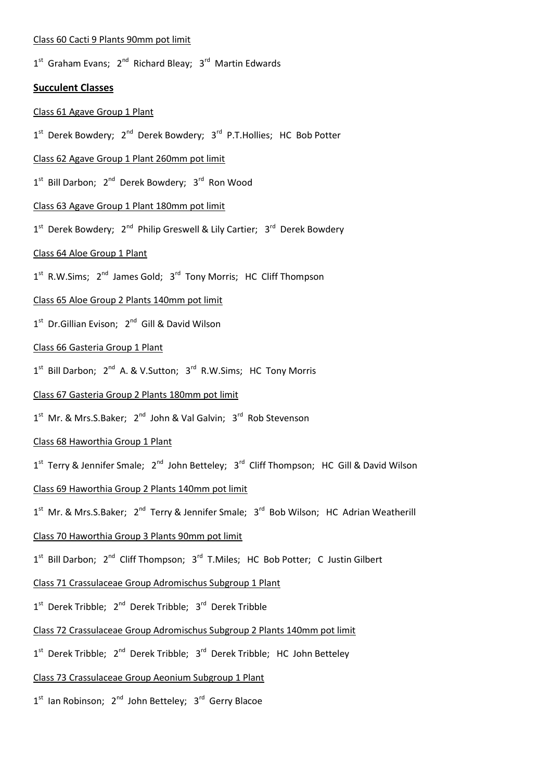#### Class 60 Cacti 9 Plants 90mm pot limit

1<sup>st</sup> Graham Evans; 2<sup>nd</sup> Richard Bleay; 3<sup>rd</sup> Martin Edwards

## **Succulent Classes**

#### Class 61 Agave Group 1 Plant

1<sup>st</sup> Derek Bowdery; 2<sup>nd</sup> Derek Bowdery; 3<sup>rd</sup> P.T.Hollies; HC Bob Potter

## Class 62 Agave Group 1 Plant 260mm pot limit

1<sup>st</sup> Bill Darbon; 2<sup>nd</sup> Derek Bowdery; 3<sup>rd</sup> Ron Wood

#### Class 63 Agave Group 1 Plant 180mm pot limit

1<sup>st</sup> Derek Bowdery; 2<sup>nd</sup> Philip Greswell & Lily Cartier; 3<sup>rd</sup> Derek Bowdery

#### Class 64 Aloe Group 1 Plant

1<sup>st</sup> R.W.Sims; 2<sup>nd</sup> James Gold; 3<sup>rd</sup> Tony Morris; HC Cliff Thompson

# Class 65 Aloe Group 2 Plants 140mm pot limit

1<sup>st</sup> Dr.Gillian Evison; 2<sup>nd</sup> Gill & David Wilson

## Class 66 Gasteria Group 1 Plant

1<sup>st</sup> Bill Darbon; 2<sup>nd</sup> A. & V.Sutton; 3<sup>rd</sup> R.W.Sims; HC Tony Morris

## Class 67 Gasteria Group 2 Plants 180mm pot limit

1<sup>st</sup> Mr. & Mrs.S.Baker; 2<sup>nd</sup> John & Val Galvin; 3<sup>rd</sup> Rob Stevenson

#### Class 68 Haworthia Group 1 Plant

1<sup>st</sup> Terry & Jennifer Smale; 2<sup>nd</sup> John Betteley; 3<sup>rd</sup> Cliff Thompson; HC Gill & David Wilson

## Class 69 Haworthia Group 2 Plants 140mm pot limit

1<sup>st</sup> Mr. & Mrs.S.Baker; 2<sup>nd</sup> Terry & Jennifer Smale; 3<sup>rd</sup> Bob Wilson; HC Adrian Weatherill

### Class 70 Haworthia Group 3 Plants 90mm pot limit

1<sup>st</sup> Bill Darbon; 2<sup>nd</sup> Cliff Thompson; 3<sup>rd</sup> T.Miles; HC Bob Potter; C Justin Gilbert

### Class 71 Crassulaceae Group Adromischus Subgroup 1 Plant

1<sup>st</sup> Derek Tribble; 2<sup>nd</sup> Derek Tribble; 3<sup>rd</sup> Derek Tribble

## Class 72 Crassulaceae Group Adromischus Subgroup 2 Plants 140mm pot limit

1<sup>st</sup> Derek Tribble; 2<sup>nd</sup> Derek Tribble; 3<sup>rd</sup> Derek Tribble; HC John Betteley

## Class 73 Crassulaceae Group Aeonium Subgroup 1 Plant

1<sup>st</sup> Ian Robinson; 2<sup>nd</sup> John Betteley; 3<sup>rd</sup> Gerry Blacoe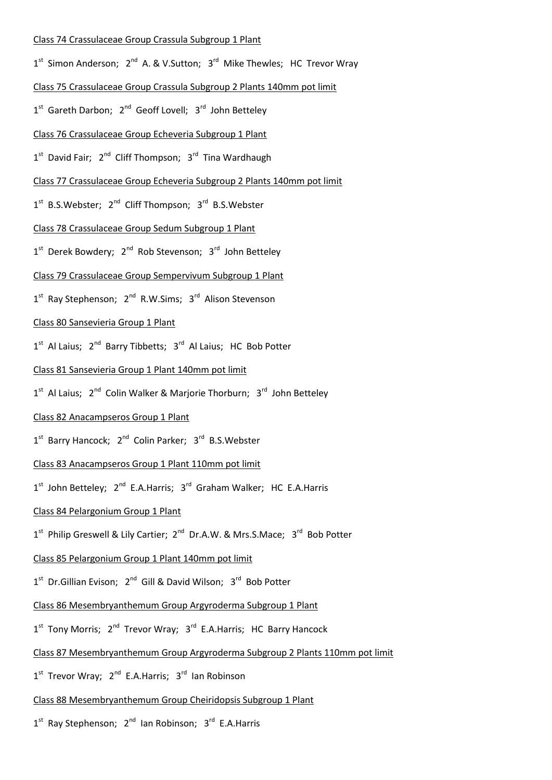### Class 74 Crassulaceae Group Crassula Subgroup 1 Plant

- 1<sup>st</sup> Simon Anderson; 2<sup>nd</sup> A. & V.Sutton; 3<sup>rd</sup> Mike Thewles; HC Trevor Wray
- Class 75 Crassulaceae Group Crassula Subgroup 2 Plants 140mm pot limit
- 1<sup>st</sup> Gareth Darbon; 2<sup>nd</sup> Geoff Lovell; 3<sup>rd</sup> John Betteley

#### Class 76 Crassulaceae Group Echeveria Subgroup 1 Plant

- 1<sup>st</sup> David Fair; 2<sup>nd</sup> Cliff Thompson; 3<sup>rd</sup> Tina Wardhaugh
- Class 77 Crassulaceae Group Echeveria Subgroup 2 Plants 140mm pot limit
- 1<sup>st</sup> B.S.Webster; 2<sup>nd</sup> Cliff Thompson; 3<sup>rd</sup> B.S.Webster

## Class 78 Crassulaceae Group Sedum Subgroup 1 Plant

1<sup>st</sup> Derek Bowdery; 2<sup>nd</sup> Rob Stevenson; 3<sup>rd</sup> John Betteley

## Class 79 Crassulaceae Group Sempervivum Subgroup 1 Plant

1<sup>st</sup> Ray Stephenson; 2<sup>nd</sup> R.W.Sims; 3<sup>rd</sup> Alison Stevenson

## Class 80 Sansevieria Group 1 Plant

- 1<sup>st</sup> Al Laius; 2<sup>nd</sup> Barry Tibbetts; 3<sup>rd</sup> Al Laius; HC Bob Potter
- Class 81 Sansevieria Group 1 Plant 140mm pot limit
- 1<sup>st</sup> Al Laius; 2<sup>nd</sup> Colin Walker & Marjorie Thorburn; 3<sup>rd</sup> John Betteley

### Class 82 Anacampseros Group 1 Plant

- 1<sup>st</sup> Barry Hancock; 2<sup>nd</sup> Colin Parker; 3<sup>rd</sup> B.S.Webster
- Class 83 Anacampseros Group 1 Plant 110mm pot limit
- 1<sup>st</sup> John Betteley; 2<sup>nd</sup> E.A.Harris; 3<sup>rd</sup> Graham Walker; HC E.A.Harris

## Class 84 Pelargonium Group 1 Plant

1<sup>st</sup> Philip Greswell & Lily Cartier; 2<sup>nd</sup> Dr.A.W. & Mrs.S.Mace; 3<sup>rd</sup> Bob Potter

### Class 85 Pelargonium Group 1 Plant 140mm pot limit

- 1<sup>st</sup> Dr.Gillian Evison; 2<sup>nd</sup> Gill & David Wilson; 3<sup>rd</sup> Bob Potter
- Class 86 Mesembryanthemum Group Argyroderma Subgroup 1 Plant
- 1<sup>st</sup> Tony Morris; 2<sup>nd</sup> Trevor Wray; 3<sup>rd</sup> E.A.Harris; HC Barry Hancock
- Class 87 Mesembryanthemum Group Argyroderma Subgroup 2 Plants 110mm pot limit
- 1<sup>st</sup> Trevor Wray; 2<sup>nd</sup> E.A.Harris; 3<sup>rd</sup> Ian Robinson
- Class 88 Mesembryanthemum Group Cheiridopsis Subgroup 1 Plant
- 1<sup>st</sup> Ray Stephenson; 2<sup>nd</sup> Ian Robinson; 3<sup>rd</sup> E.A.Harris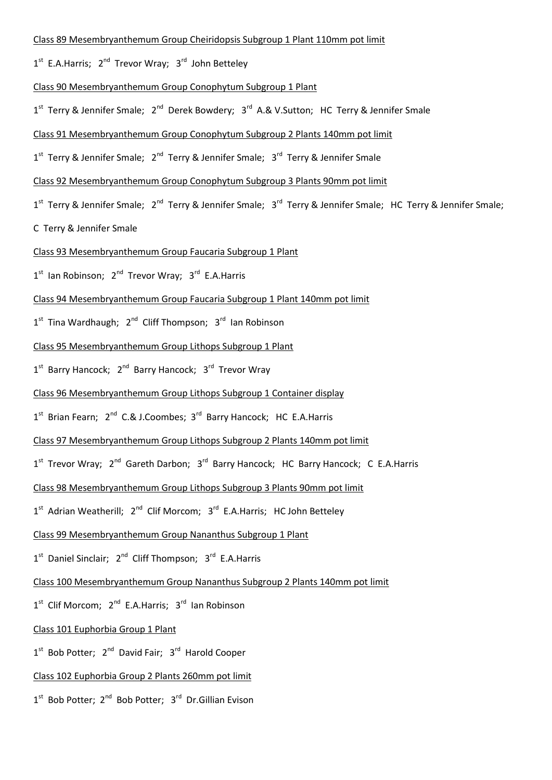#### Class 89 Mesembryanthemum Group Cheiridopsis Subgroup 1 Plant 110mm pot limit

1<sup>st</sup> E.A.Harris; 2<sup>nd</sup> Trevor Wray; 3<sup>rd</sup> John Betteley

#### Class 90 Mesembryanthemum Group Conophytum Subgroup 1 Plant

1<sup>st</sup> Terry & Jennifer Smale; 2<sup>nd</sup> Derek Bowdery; 3<sup>rd</sup> A.& V.Sutton; HC Terry & Jennifer Smale

#### Class 91 Mesembryanthemum Group Conophytum Subgroup 2 Plants 140mm pot limit

- 1<sup>st</sup> Terry & Jennifer Smale; 2<sup>nd</sup> Terry & Jennifer Smale; 3<sup>rd</sup> Terry & Jennifer Smale
- Class 92 Mesembryanthemum Group Conophytum Subgroup 3 Plants 90mm pot limit
- 1<sup>st</sup> Terry & Jennifer Smale; 2<sup>nd</sup> Terry & Jennifer Smale; 3<sup>rd</sup> Terry & Jennifer Smale; HC Terry & Jennifer Smale;
- C Terry & Jennifer Smale

#### Class 93 Mesembryanthemum Group Faucaria Subgroup 1 Plant

1<sup>st</sup> Ian Robinson; 2<sup>nd</sup> Trevor Wray; 3<sup>rd</sup> E.A.Harris

### Class 94 Mesembryanthemum Group Faucaria Subgroup 1 Plant 140mm pot limit

1<sup>st</sup> Tina Wardhaugh; 2<sup>nd</sup> Cliff Thompson; 3<sup>rd</sup> Ian Robinson

#### Class 95 Mesembryanthemum Group Lithops Subgroup 1 Plant

1<sup>st</sup> Barry Hancock; 2<sup>nd</sup> Barry Hancock; 3<sup>rd</sup> Trevor Wray

### Class 96 Mesembryanthemum Group Lithops Subgroup 1 Container display

- 1<sup>st</sup> Brian Fearn; 2<sup>nd</sup> C.& J.Coombes; 3<sup>rd</sup> Barry Hancock; HC E.A.Harris
- Class 97 Mesembryanthemum Group Lithops Subgroup 2 Plants 140mm pot limit
- 1<sup>st</sup> Trevor Wray; 2<sup>nd</sup> Gareth Darbon; 3<sup>rd</sup> Barry Hancock; HC Barry Hancock; C E.A.Harris
- Class 98 Mesembryanthemum Group Lithops Subgroup 3 Plants 90mm pot limit
- 1<sup>st</sup> Adrian Weatherill; 2<sup>nd</sup> Clif Morcom; 3<sup>rd</sup> E.A.Harris; HC John Betteley
- Class 99 Mesembryanthemum Group Nananthus Subgroup 1 Plant
- 1<sup>st</sup> Daniel Sinclair; 2<sup>nd</sup> Cliff Thompson; 3<sup>rd</sup> E.A.Harris
- Class 100 Mesembryanthemum Group Nananthus Subgroup 2 Plants 140mm pot limit
- 1<sup>st</sup> Clif Morcom; 2<sup>nd</sup> E.A.Harris; 3<sup>rd</sup> Ian Robinson
- Class 101 Euphorbia Group 1 Plant
- 1<sup>st</sup> Bob Potter; 2<sup>nd</sup> David Fair; 3<sup>rd</sup> Harold Cooper

## Class 102 Euphorbia Group 2 Plants 260mm pot limit

1<sup>st</sup> Bob Potter; 2<sup>nd</sup> Bob Potter; 3<sup>rd</sup> Dr.Gillian Evison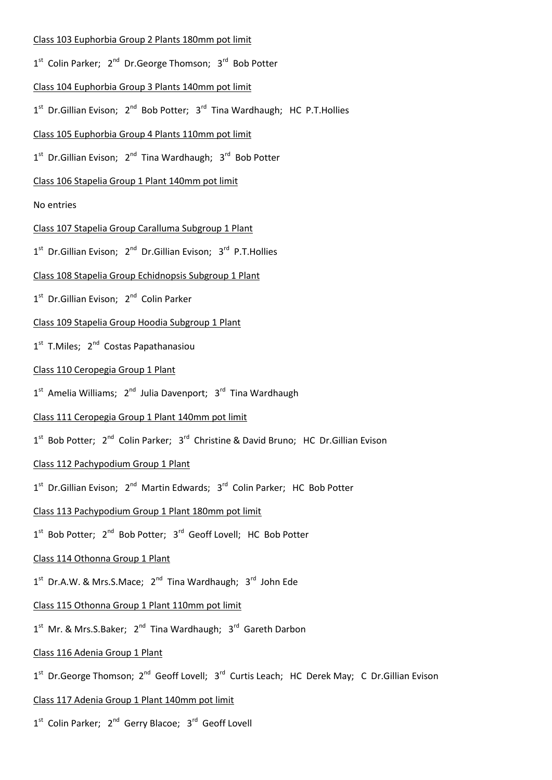### Class 103 Euphorbia Group 2 Plants 180mm pot limit

- 1<sup>st</sup> Colin Parker; 2<sup>nd</sup> Dr.George Thomson; 3<sup>rd</sup> Bob Potter
- Class 104 Euphorbia Group 3 Plants 140mm pot limit
- 1<sup>st</sup> Dr.Gillian Evison; 2<sup>nd</sup> Bob Potter; 3<sup>rd</sup> Tina Wardhaugh; HC P.T.Hollies

## Class 105 Euphorbia Group 4 Plants 110mm pot limit

1<sup>st</sup> Dr.Gillian Evison; 2<sup>nd</sup> Tina Wardhaugh; 3<sup>rd</sup> Bob Potter

## Class 106 Stapelia Group 1 Plant 140mm pot limit

## No entries

## Class 107 Stapelia Group Caralluma Subgroup 1 Plant

1<sup>st</sup> Dr.Gillian Evison; 2<sup>nd</sup> Dr.Gillian Evison; 3<sup>rd</sup> P.T.Hollies

## Class 108 Stapelia Group Echidnopsis Subgroup 1 Plant

1<sup>st</sup> Dr.Gillian Evison; 2<sup>nd</sup> Colin Parker

## Class 109 Stapelia Group Hoodia Subgroup 1 Plant

1<sup>st</sup> T.Miles; 2<sup>nd</sup> Costas Papathanasiou

## Class 110 Ceropegia Group 1 Plant

1<sup>st</sup> Amelia Williams; 2<sup>nd</sup> Julia Davenport; 3<sup>rd</sup> Tina Wardhaugh

## Class 111 Ceropegia Group 1 Plant 140mm pot limit

1<sup>st</sup> Bob Potter; 2<sup>nd</sup> Colin Parker; 3<sup>rd</sup> Christine & David Bruno; HC Dr.Gillian Evison

## Class 112 Pachypodium Group 1 Plant

1<sup>st</sup> Dr.Gillian Evison; 2<sup>nd</sup> Martin Edwards; 3<sup>rd</sup> Colin Parker; HC Bob Potter

## Class 113 Pachypodium Group 1 Plant 180mm pot limit

1<sup>st</sup> Bob Potter; 2<sup>nd</sup> Bob Potter; 3<sup>rd</sup> Geoff Lovell; HC Bob Potter

## Class 114 Othonna Group 1 Plant

1<sup>st</sup> Dr.A.W. & Mrs.S.Mace; 2<sup>nd</sup> Tina Wardhaugh; 3<sup>rd</sup> John Ede

## Class 115 Othonna Group 1 Plant 110mm pot limit

1<sup>st</sup> Mr. & Mrs.S.Baker; 2<sup>nd</sup> Tina Wardhaugh; 3<sup>rd</sup> Gareth Darbon

### Class 116 Adenia Group 1 Plant

1<sup>st</sup> Dr.George Thomson; 2<sup>nd</sup> Geoff Lovell; 3<sup>rd</sup> Curtis Leach; HC Derek May; C Dr.Gillian Evison

## Class 117 Adenia Group 1 Plant 140mm pot limit

1<sup>st</sup> Colin Parker; 2<sup>nd</sup> Gerry Blacoe; 3<sup>rd</sup> Geoff Lovell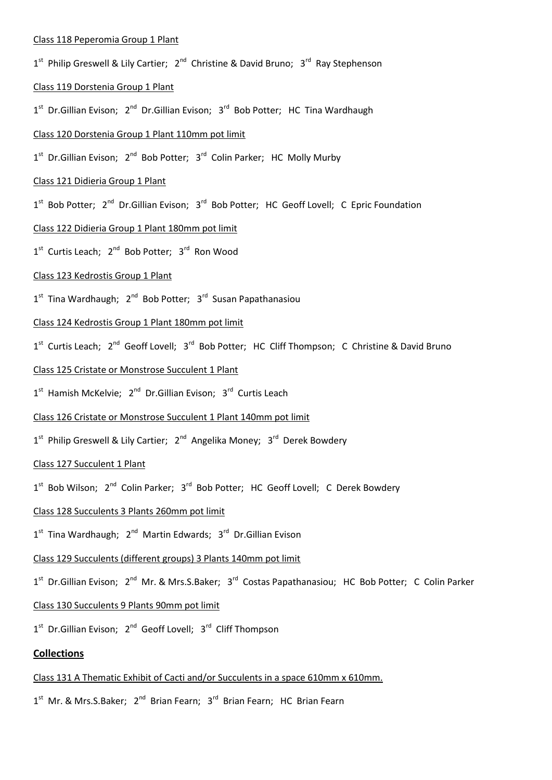### Class 118 Peperomia Group 1 Plant

1<sup>st</sup> Philip Greswell & Lily Cartier; 2<sup>nd</sup> Christine & David Bruno; 3<sup>rd</sup> Ray Stephenson

### Class 119 Dorstenia Group 1 Plant

1<sup>st</sup> Dr.Gillian Evison; 2<sup>nd</sup> Dr.Gillian Evison; 3<sup>rd</sup> Bob Potter; HC Tina Wardhaugh

### Class 120 Dorstenia Group 1 Plant 110mm pot limit

1<sup>st</sup> Dr.Gillian Evison; 2<sup>nd</sup> Bob Potter; 3<sup>rd</sup> Colin Parker; HC Molly Murby

## Class 121 Didieria Group 1 Plant

1<sup>st</sup> Bob Potter; 2<sup>nd</sup> Dr.Gillian Evison; 3<sup>rd</sup> Bob Potter; HC Geoff Lovell; C Epric Foundation

## Class 122 Didieria Group 1 Plant 180mm pot limit

1<sup>st</sup> Curtis Leach; 2<sup>nd</sup> Bob Potter; 3<sup>rd</sup> Ron Wood

## Class 123 Kedrostis Group 1 Plant

1<sup>st</sup> Tina Wardhaugh; 2<sup>nd</sup> Bob Potter; 3<sup>rd</sup> Susan Papathanasiou

## Class 124 Kedrostis Group 1 Plant 180mm pot limit

1<sup>st</sup> Curtis Leach; 2<sup>nd</sup> Geoff Lovell; 3<sup>rd</sup> Bob Potter; HC Cliff Thompson; C Christine & David Bruno

## Class 125 Cristate or Monstrose Succulent 1 Plant

1<sup>st</sup> Hamish McKelvie; 2<sup>nd</sup> Dr.Gillian Evison; 3<sup>rd</sup> Curtis Leach

### Class 126 Cristate or Monstrose Succulent 1 Plant 140mm pot limit

1<sup>st</sup> Philip Greswell & Lily Cartier; 2<sup>nd</sup> Angelika Money; 3<sup>rd</sup> Derek Bowdery

### Class 127 Succulent 1 Plant

1<sup>st</sup> Bob Wilson; 2<sup>nd</sup> Colin Parker; 3<sup>rd</sup> Bob Potter; HC Geoff Lovell; C Derek Bowdery

### Class 128 Succulents 3 Plants 260mm pot limit

1<sup>st</sup> Tina Wardhaugh; 2<sup>nd</sup> Martin Edwards; 3<sup>rd</sup> Dr.Gillian Evison

### Class 129 Succulents (different groups) 3 Plants 140mm pot limit

1<sup>st</sup> Dr.Gillian Evison; 2<sup>nd</sup> Mr. & Mrs.S.Baker; 3<sup>rd</sup> Costas Papathanasiou; HC Bob Potter; C Colin Parker

## Class 130 Succulents 9 Plants 90mm pot limit

1<sup>st</sup> Dr.Gillian Evison; 2<sup>nd</sup> Geoff Lovell; 3<sup>rd</sup> Cliff Thompson

# **Collections**

## Class 131 A Thematic Exhibit of Cacti and/or Succulents in a space 610mm x 610mm.

1<sup>st</sup> Mr. & Mrs.S.Baker; 2<sup>nd</sup> Brian Fearn; 3<sup>rd</sup> Brian Fearn; HC Brian Fearn